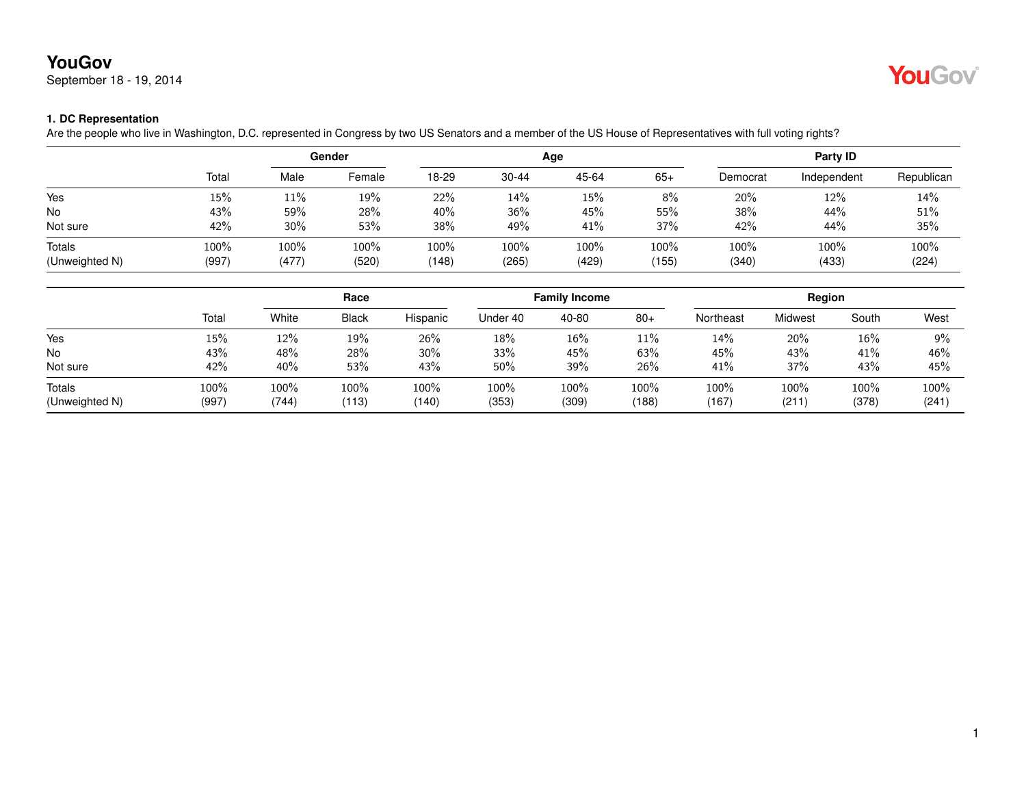# **YouGov**

September 18 - 19, 2014



### **1. DC Representation**

Are the people who live in Washington, D.C. represented in Congress by two US Senators and a member of the US House of Representatives with full voting rights?

|                |       | Gender |        |       |           | Age   | Party ID |          |             |            |
|----------------|-------|--------|--------|-------|-----------|-------|----------|----------|-------------|------------|
|                | Total | Male   | Female | 18-29 | $30 - 44$ | 45-64 | $65+$    | Democrat | Independent | Republican |
| Yes            | 15%   | 11%    | 19%    | 22%   | 14%       | 15%   | 8%       | 20%      | 12%         | 14%        |
| No             | 43%   | 59%    | 28%    | 40%   | 36%       | 45%   | 55%      | 38%      | 44%         | 51%        |
| Not sure       | 42%   | 30%    | 53%    | 38%   | 49%       | 41%   | 37%      | 42%      | 44%         | 35%        |
| Totals         | 100%  | 100%   | 100%   | 100%  | 100%      | 100%  | 100%     | 100%     | 100%        | 100%       |
| (Unweighted N) | (997) | (477)  | (520)  | (148) | (265)     | (429) | (155)    | (340)    | (433)       | (224)      |

|                          |               | Race          |               |               | <b>Family Income</b> |               |               | Region        |               |               |               |
|--------------------------|---------------|---------------|---------------|---------------|----------------------|---------------|---------------|---------------|---------------|---------------|---------------|
|                          | Total         | White         | <b>Black</b>  | Hispanic      | Under 40             | 40-80         | $80+$         | Northeast     | Midwest       | South         | West          |
| Yes                      | 15%           | 12%           | 19%           | 26%           | 18%                  | 16%           | 11%           | $14\%$        | 20%           | 16%           | 9%            |
| <b>No</b>                | 43%           | 48%           | 28%           | 30%           | 33%                  | 45%           | 63%           | 45%           | 43%           | 41%           | 46%           |
| Not sure                 | 42%           | 40%           | 53%           | 43%           | 50%                  | 39%           | 26%           | 41%           | 37%           | 43%           | 45%           |
| Totals<br>(Unweighted N) | 100%<br>(997) | 100%<br>(744) | 100%<br>(113) | 100%<br>(140) | 100%<br>(353)        | 100%<br>(309) | 100%<br>(188) | 100%<br>(167) | 100%<br>(211) | 100%<br>(378) | 100%<br>(241) |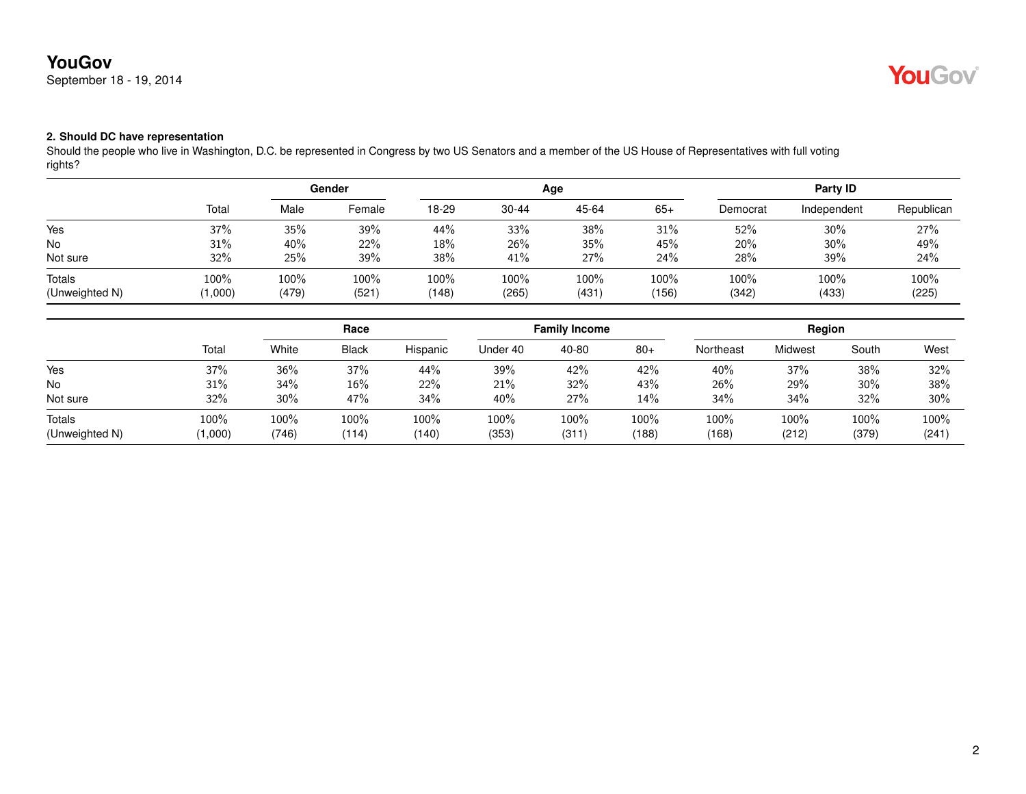# **YouGov**

September 18 - 19, 2014



## **2. Should DC have representation**

Should the people who live in Washington, D.C. be represented in Congress by two US Senators and a member of the US House of Representatives with full voting rights?

|                                 |                 | Gender        |               |               |               | Age           | Party ID      |               |               |               |
|---------------------------------|-----------------|---------------|---------------|---------------|---------------|---------------|---------------|---------------|---------------|---------------|
|                                 | Total           | Male          | Female        | 18-29         | $30 - 44$     | 45-64         | $65+$         | Democrat      | Independent   | Republican    |
| Yes                             | 37%             | 35%           | 39%           | 44%           | 33%           | 38%           | 31%           | 52%           | 30%           | 27%           |
| <b>No</b>                       | 31%             | 40%           | 22%           | 18%           | 26%           | 35%           | 45%           | 20%           | 30%           | 49%           |
| Not sure                        | 32%             | 25%           | 39%           | 38%           | 41%           | 27%           | 24%           | 28%           | 39%           | 24%           |
| <b>Totals</b><br>(Unweighted N) | 100%<br>(1,000) | 100%<br>(479) | 100%<br>(521) | 100%<br>(148) | 100%<br>(265) | 100%<br>(431) | 100%<br>(156) | 100%<br>(342) | 100%<br>(433) | 100%<br>(225) |

|                                 |                 | Race          |               |               | <b>Family Income</b> |               |               | Region        |               |               |               |
|---------------------------------|-----------------|---------------|---------------|---------------|----------------------|---------------|---------------|---------------|---------------|---------------|---------------|
|                                 | Total           | White         | <b>Black</b>  | Hispanic      | Under 40             | 40-80         | $80+$         | Northeast     | Midwest       | South         | West          |
| Yes                             | 37%             | 36%           | 37%           | 44%           | 39%                  | 42%           | 42%           | 40%           | 37%           | 38%           | 32%           |
| No                              | 31%             | 34%           | 16%           | 22%           | 21%                  | 32%           | 43%           | 26%           | 29%           | 30%           | 38%           |
| Not sure                        | 32%             | $30\%$        | 47%           | 34%           | 40%                  | 27%           | 14%           | 34%           | 34%           | 32%           | 30%           |
| <b>Totals</b><br>(Unweighted N) | 100%<br>(1,000) | 100%<br>(746) | 100%<br>(114) | 100%<br>(140) | 100%<br>(353)        | 100%<br>(311) | 100%<br>(188) | 100%<br>(168) | 100%<br>(212) | 100%<br>(379) | 100%<br>(241) |